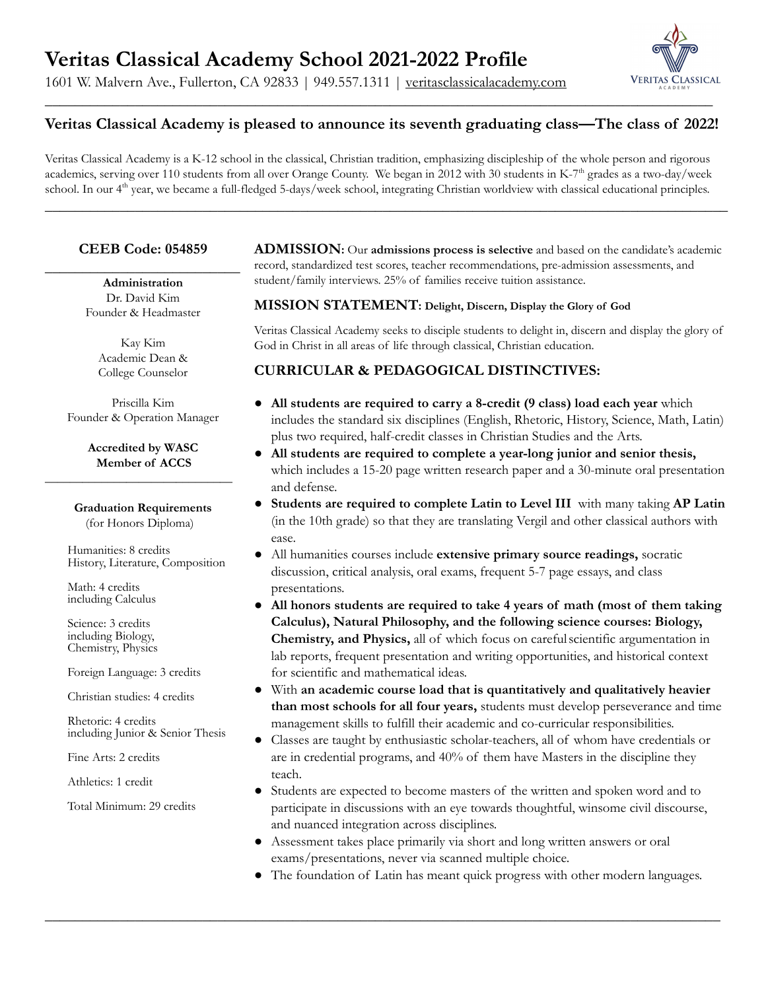## **Veritas Classical Academy School 2021-2022 Profile**

1601 W. Malvern Ave., Fullerton, CA 92833 | 949.557.1311 | [veritasclassicalacademy.com](http://veritasclassicalacademy.com)



### **Veritas Classical Academy is pleased to announce its seventh graduating class—The class of 2022!**

Veritas Classical Academy is a K-12 school in the classical, Christian tradition, emphasizing discipleship of the whole person and rigorous academics, serving over 110 students from all over Orange County. We began in 2012 with 30 students in K-7<sup>th</sup> grades as a two-day/week school. In our 4<sup>th</sup> year, we became a full-fledged 5-days/week school, integrating Christian worldview with classical educational principles.

\_\_\_\_\_\_\_\_\_\_\_\_\_\_\_\_\_\_\_\_\_\_\_\_\_\_\_\_\_\_\_\_\_\_\_\_\_\_\_\_\_\_\_\_\_\_\_\_\_\_\_\_\_\_\_\_\_\_\_\_\_\_\_\_\_\_\_\_\_\_\_\_\_\_\_\_\_\_\_\_\_\_\_\_\_\_\_\_\_\_\_

### **CEEB Code: 054859**

 $\overline{\phantom{a}}$  , where  $\overline{\phantom{a}}$  , where  $\overline{\phantom{a}}$  , where  $\overline{\phantom{a}}$ **Administration** Dr. David Kim Founder & Headmaster

> Kay Kim Academic Dean & College Counselor

Priscilla Kim Founder & Operation Manager

**Accredited by WASC Member of ACCS**  $\frac{1}{2}$  , and the set of the set of the set of the set of the set of the set of the set of the set of the set of the set of the set of the set of the set of the set of the set of the set of the set of the set of the set

> **Graduation Requirements** (for Honors Diploma)

Humanities: 8 credits History, Literature, Composition

Math: 4 credits including Calculus

Science: 3 credits including Biology, Chemistry, Physics

Foreign Language: 3 credits

Christian studies: 4 credits

Rhetoric: 4 credits including Junior & Senior Thesis

Fine Arts: 2 credits

Athletics: 1 credit

Total Minimum: 29 credits

**ADMISSION:** Our **admissions process is selective** and based on the candidate's academic record, standardized test scores, teacher recommendations, pre-admission assessments, and student/family interviews. 25% of families receive tuition assistance.

#### **MISSION STATEMENT: Delight, Discern, Display the Glory of God**

Veritas Classical Academy seeks to disciple students to delight in, discern and display the glory of God in Christ in all areas of life through classical, Christian education.

#### **CURRICULAR & PEDAGOGICAL DISTINCTIVES:**

- **All students are required to carry a 8-credit (9 class) load each year** which includes the standard six disciplines (English, Rhetoric, History, Science, Math, Latin) plus two required, half-credit classes in Christian Studies and the Arts.
- **All students are required to complete a year-long junior and senior thesis,** which includes a 15-20 page written research paper and a 30-minute oral presentation and defense.
- **Students are required to complete Latin to Level III** with many taking **AP Latin** (in the 10th grade) so that they are translating Vergil and other classical authors with ease.
- All humanities courses include **extensive primary source readings,** socratic discussion, critical analysis, oral exams, frequent 5-7 page essays, and class presentations.
- **All honors students are required to take 4 years of math (most of them taking Calculus), Natural Philosophy, and the following science courses: Biology, Chemistry, and Physics,** all of which focus on carefulscientific argumentation in lab reports, frequent presentation and writing opportunities, and historical context for scientific and mathematical ideas.
- With **an academic course load that is quantitatively and qualitatively heavier than most schools for all four years,** students must develop perseverance and time management skills to fulfill their academic and co-curricular responsibilities.
- Classes are taught by enthusiastic scholar-teachers, all of whom have credentials or are in credential programs, and 40% of them have Masters in the discipline they teach.
- Students are expected to become masters of the written and spoken word and to participate in discussions with an eye towards thoughtful, winsome civil discourse, and nuanced integration across disciplines.
- Assessment takes place primarily via short and long written answers or oral exams/presentations, never via scanned multiple choice.

 $\_$  , and the contribution of the contribution of  $\mathcal{L}$  , and  $\mathcal{L}$  , and  $\mathcal{L}$  , and  $\mathcal{L}$  , and  $\mathcal{L}$ 

● The foundation of Latin has meant quick progress with other modern languages.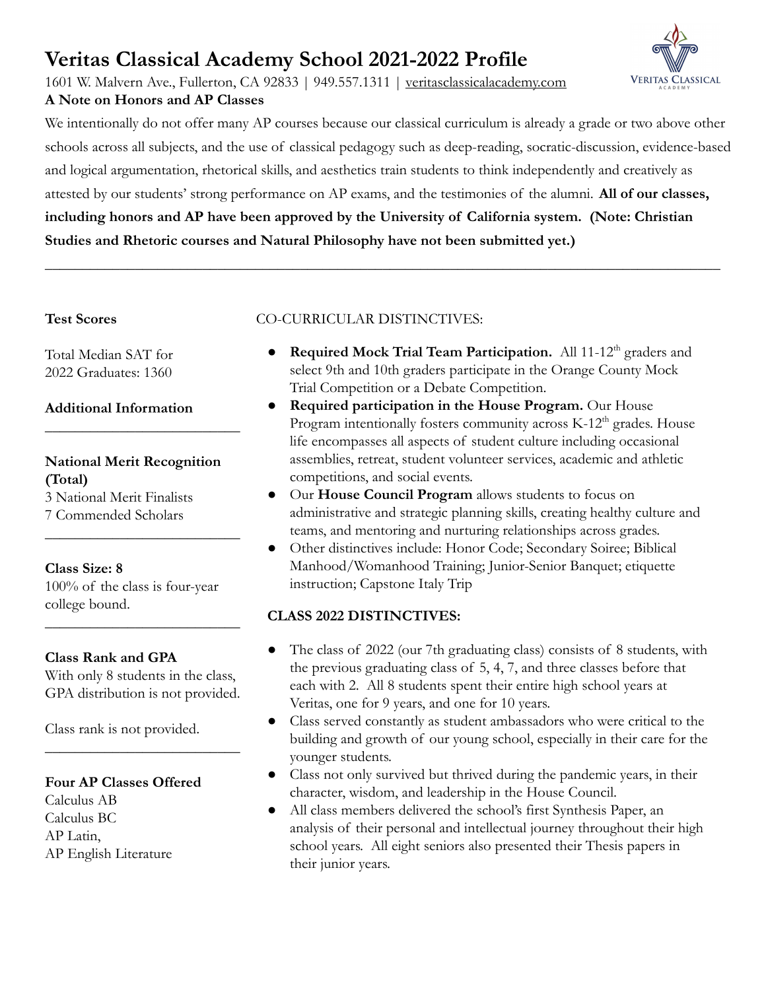# **Veritas Classical Academy School 2021-2022 Profile**

1601 W. Malvern Ave., Fullerton, CA 92833 | 949.557.1311 | [veritasclassicalacademy.com](http://veritasclassicalacademy.com) **A Note on Honors and AP Classes**



We intentionally do not offer many AP courses because our classical curriculum is already a grade or two above other schools across all subjects, and the use of classical pedagogy such as deep-reading, socratic-discussion, evidence-based and logical argumentation, rhetorical skills, and aesthetics train students to think independently and creatively as attested by our students' strong performance on AP exams, and the testimonies of the alumni. **All of our classes, including honors and AP have been approved by the University of California system. (Note: Christian Studies and Rhetoric courses and Natural Philosophy have not been submitted yet.)**

\_\_\_\_\_\_\_\_\_\_\_\_\_\_\_\_\_\_\_\_\_\_\_\_\_\_\_\_\_\_\_\_\_\_\_\_\_\_\_\_\_\_\_\_\_\_\_\_\_\_\_\_\_\_\_\_\_\_\_\_\_\_\_\_\_\_\_\_\_\_\_\_\_\_\_\_\_\_\_\_\_\_\_\_\_\_\_\_\_\_

#### **Test Scores**

Total Median SAT for 2022 Graduates: 1360

#### **Additional Information**

#### **National Merit Recognition (Total)** 3 National Merit Finalists

 $\overline{\phantom{a}}$  , where  $\overline{\phantom{a}}$  , where  $\overline{\phantom{a}}$  , where  $\overline{\phantom{a}}$ 

 $\overline{\phantom{a}}$  , where  $\overline{\phantom{a}}$  , where  $\overline{\phantom{a}}$  , where  $\overline{\phantom{a}}$ 

7 Commended Scholars

### **Class Size: 8**

100% of the class is four-year college bound.

#### **Class Rank and GPA**

With only 8 students in the class, GPA distribution is not provided.

 $\overline{\phantom{a}}$  , where  $\overline{\phantom{a}}$  , where  $\overline{\phantom{a}}$  , where  $\overline{\phantom{a}}$ 

 $\overline{\phantom{a}}$  , where  $\overline{\phantom{a}}$  , where  $\overline{\phantom{a}}$  , where  $\overline{\phantom{a}}$ 

Class rank is not provided.

#### **Four AP Classes Offered**

Calculus AB Calculus BC AP Latin, AP English Literature

### CO-CURRICULAR DISTINCTIVES:

- **Required Mock Trial Team Participation.** All 11-12<sup>th</sup> graders and select 9th and 10th graders participate in the Orange County Mock Trial Competition or a Debate Competition.
- **Required participation in the House Program.** Our House Program intentionally fosters community across  $K-12<sup>th</sup>$  grades. House life encompasses all aspects of student culture including occasional assemblies, retreat, student volunteer services, academic and athletic competitions, and social events.
- Our **House Council Program** allows students to focus on administrative and strategic planning skills, creating healthy culture and teams, and mentoring and nurturing relationships across grades.
- Other distinctives include: Honor Code; Secondary Soiree; Biblical Manhood/Womanhood Training; Junior-Senior Banquet; etiquette instruction; Capstone Italy Trip

### **CLASS 2022 DISTINCTIVES:**

- The class of 2022 (our 7th graduating class) consists of 8 students, with the previous graduating class of 5, 4, 7, and three classes before that each with 2. All 8 students spent their entire high school years at Veritas, one for 9 years, and one for 10 years.
- Class served constantly as student ambassadors who were critical to the building and growth of our young school, especially in their care for the younger students.
- Class not only survived but thrived during the pandemic years, in their character, wisdom, and leadership in the House Council.
- All class members delivered the school's first Synthesis Paper, an analysis of their personal and intellectual journey throughout their high school years. All eight seniors also presented their Thesis papers in their junior years.